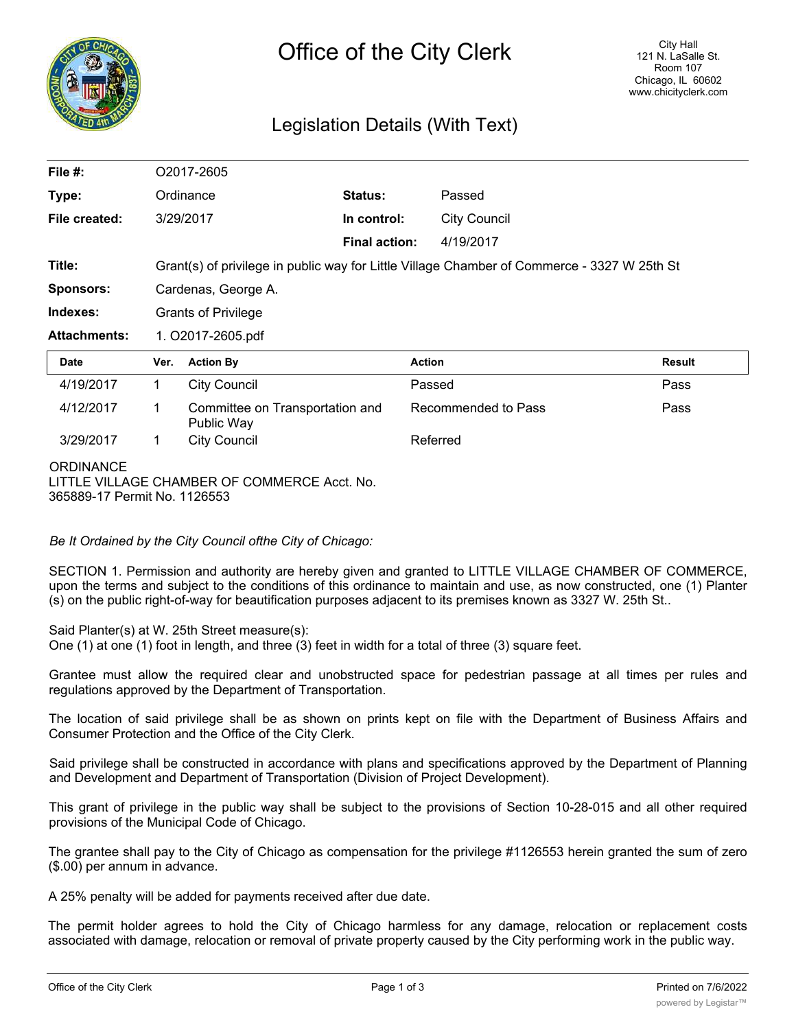

## Legislation Details (With Text)

| File $#$ :                                                                                       | O2017-2605                                                                                  |                                               |                      |                     |                     |               |
|--------------------------------------------------------------------------------------------------|---------------------------------------------------------------------------------------------|-----------------------------------------------|----------------------|---------------------|---------------------|---------------|
| Type:                                                                                            | Ordinance                                                                                   |                                               | Status:              |                     | Passed              |               |
| File created:                                                                                    | 3/29/2017                                                                                   |                                               | In control:          |                     | <b>City Council</b> |               |
|                                                                                                  |                                                                                             |                                               | <b>Final action:</b> |                     | 4/19/2017           |               |
| Title:                                                                                           | Grant(s) of privilege in public way for Little Village Chamber of Commerce - 3327 W 25th St |                                               |                      |                     |                     |               |
| <b>Sponsors:</b>                                                                                 | Cardenas, George A.                                                                         |                                               |                      |                     |                     |               |
| Indexes:                                                                                         | <b>Grants of Privilege</b>                                                                  |                                               |                      |                     |                     |               |
| <b>Attachments:</b>                                                                              | 1. O2017-2605.pdf                                                                           |                                               |                      |                     |                     |               |
| <b>Date</b>                                                                                      | Ver.                                                                                        | <b>Action By</b>                              |                      | <b>Action</b>       |                     | <b>Result</b> |
| 4/19/2017                                                                                        | 1.                                                                                          | <b>City Council</b>                           |                      | Passed              |                     | Pass          |
| 4/12/2017                                                                                        | 1                                                                                           | Committee on Transportation and<br>Public Way |                      | Recommended to Pass |                     | Pass          |
| 3/29/2017                                                                                        | 1.                                                                                          | <b>City Council</b>                           |                      | Referred            |                     |               |
| <b>ORDINANCE</b><br>LITTLE VILLAGE CHAMBER OF COMMERCE Acct. No.<br>365889-17 Permit No. 1126553 |                                                                                             |                                               |                      |                     |                     |               |

*Be It Ordained by the City Council ofthe City of Chicago:*

SECTION 1. Permission and authority are hereby given and granted to LITTLE VILLAGE CHAMBER OF COMMERCE, upon the terms and subject to the conditions of this ordinance to maintain and use, as now constructed, one (1) Planter (s) on the public right-of-way for beautification purposes adjacent to its premises known as 3327 W. 25th St..

Said Planter(s) at W. 25th Street measure(s):

One (1) at one (1) foot in length, and three (3) feet in width for a total of three (3) square feet.

Grantee must allow the required clear and unobstructed space for pedestrian passage at all times per rules and regulations approved by the Department of Transportation.

The location of said privilege shall be as shown on prints kept on file with the Department of Business Affairs and Consumer Protection and the Office of the City Clerk.

Said privilege shall be constructed in accordance with plans and specifications approved by the Department of Planning and Development and Department of Transportation (Division of Project Development).

This grant of privilege in the public way shall be subject to the provisions of Section 10-28-015 and all other required provisions of the Municipal Code of Chicago.

The grantee shall pay to the City of Chicago as compensation for the privilege #1126553 herein granted the sum of zero (\$.00) per annum in advance.

A 25% penalty will be added for payments received after due date.

The permit holder agrees to hold the City of Chicago harmless for any damage, relocation or replacement costs associated with damage, relocation or removal of private property caused by the City performing work in the public way.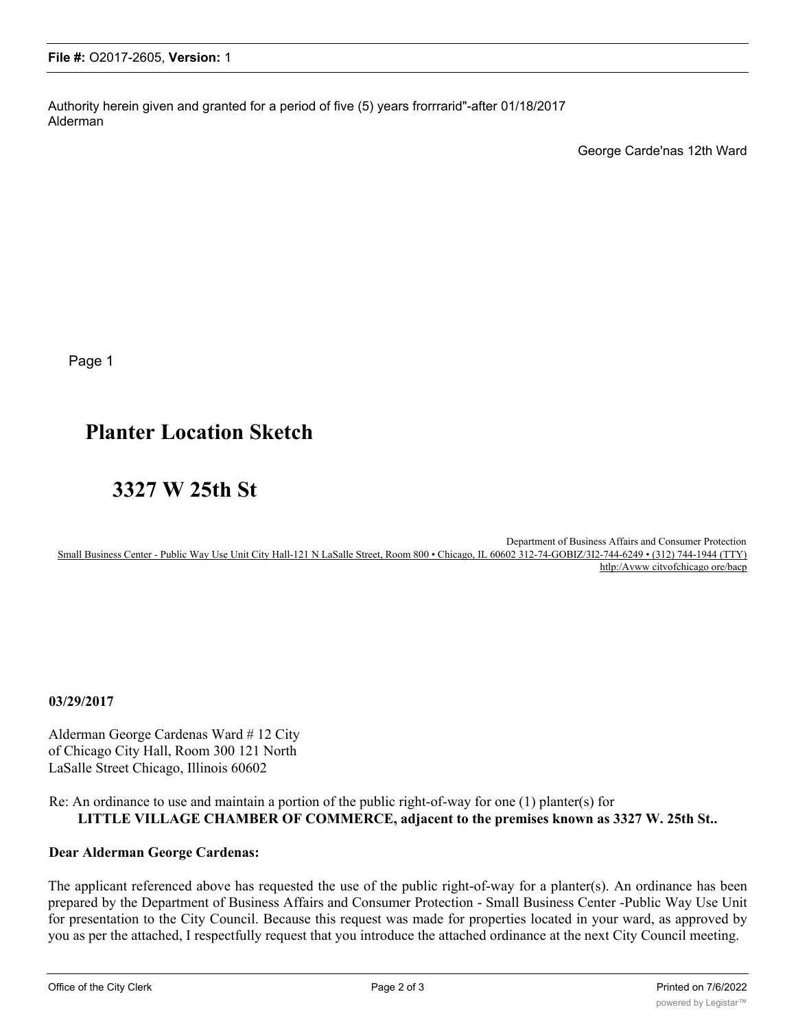Authority herein given and granted for a period of five (5) years frorrrarid"-after 01/18/2017 Alderman

George Carde'nas 12th Ward

Page 1

# **Planter Location Sketch**

# **3327 W 25th St**

Department of Business Affairs and Consumer Protection Small Business Center - Public Way Use Unit City Hall-121 N LaSalle Street, Room 800 • Chicago, IL 60602 312-74-GOBIZ/3I2-744-6249 • (312) 744-1944 (TTY) htlp:/Avww citvofchicago ore/bacp

**03/29/2017**

Alderman George Cardenas Ward # 12 City of Chicago City Hall, Room 300 121 North LaSalle Street Chicago, Illinois 60602

#### Re: An ordinance to use and maintain a portion of the public right-of-way for one (1) planter(s) for **LITTLE VILLAGE CHAMBER OF COMMERCE, adjacent to the premises known as 3327 W. 25th St..**

### **Dear Alderman George Cardenas:**

The applicant referenced above has requested the use of the public right-of-way for a planter(s). An ordinance has been prepared by the Department of Business Affairs and Consumer Protection - Small Business Center -Public Way Use Unit for presentation to the City Council. Because this request was made for properties located in your ward, as approved by you as per the attached, I respectfully request that you introduce the attached ordinance at the next City Council meeting.